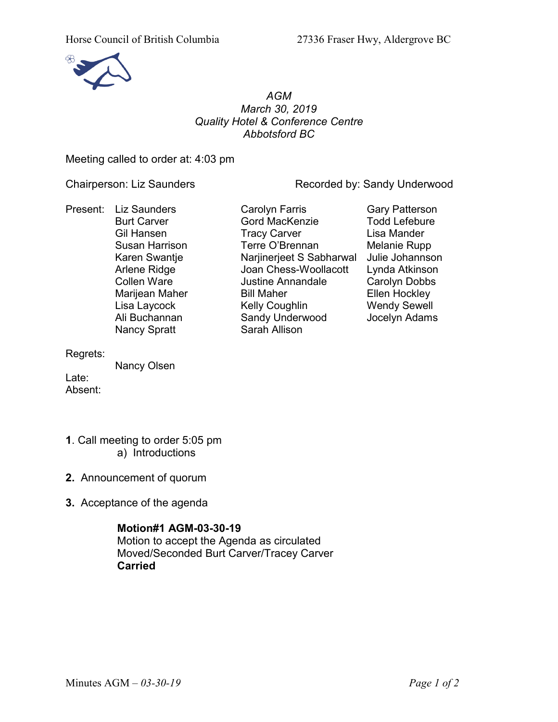

# *AGM March 30, 2019 Quality Hotel & Conference Centre Abbotsford BC*

Meeting called to order at: 4:03 pm

Chairperson: Liz Saunders **Recorded by: Sandy Underwood** 

Present: Liz Saunders Carolyn Farris Carolyn Farris Gary Patterson<br>Burt Carver Carol Gord MacKenzie Codd Lefebure Nancy Spratt Sarah Allison

Gord MacKenzie Gil Hansen **Tracy Carver** Carver Lisa Mander Susan Harrison **Terre O'Brennan** Melanie Rupp Karen Swantje Narjinerjeet S Sabharwal Julie Johannson Arlene Ridge Joan Chess-Woollacott Lynda Atkinson<br>Collen Ware Justine Annandale Carolyn Dobbs Justine Annandale Carolyn Dobbs Marijean Maher **Bill Maher Ellen Hockley** Lisa Laycock **Kelly Coughlin** Wendy Sewell Ali Buchannan Sandy Underwood Jocelyn Adams

Regrets:

Nancy Olsen

Late: Absent:

- **1**. Call meeting to order 5:05 pm a) Introductions
- **2.** Announcement of quorum
- **3.** Acceptance of the agenda

**Motion#1 AGM-03-30-19** Motion to accept the Agenda as circulated Moved/Seconded Burt Carver/Tracey Carver **Carried**